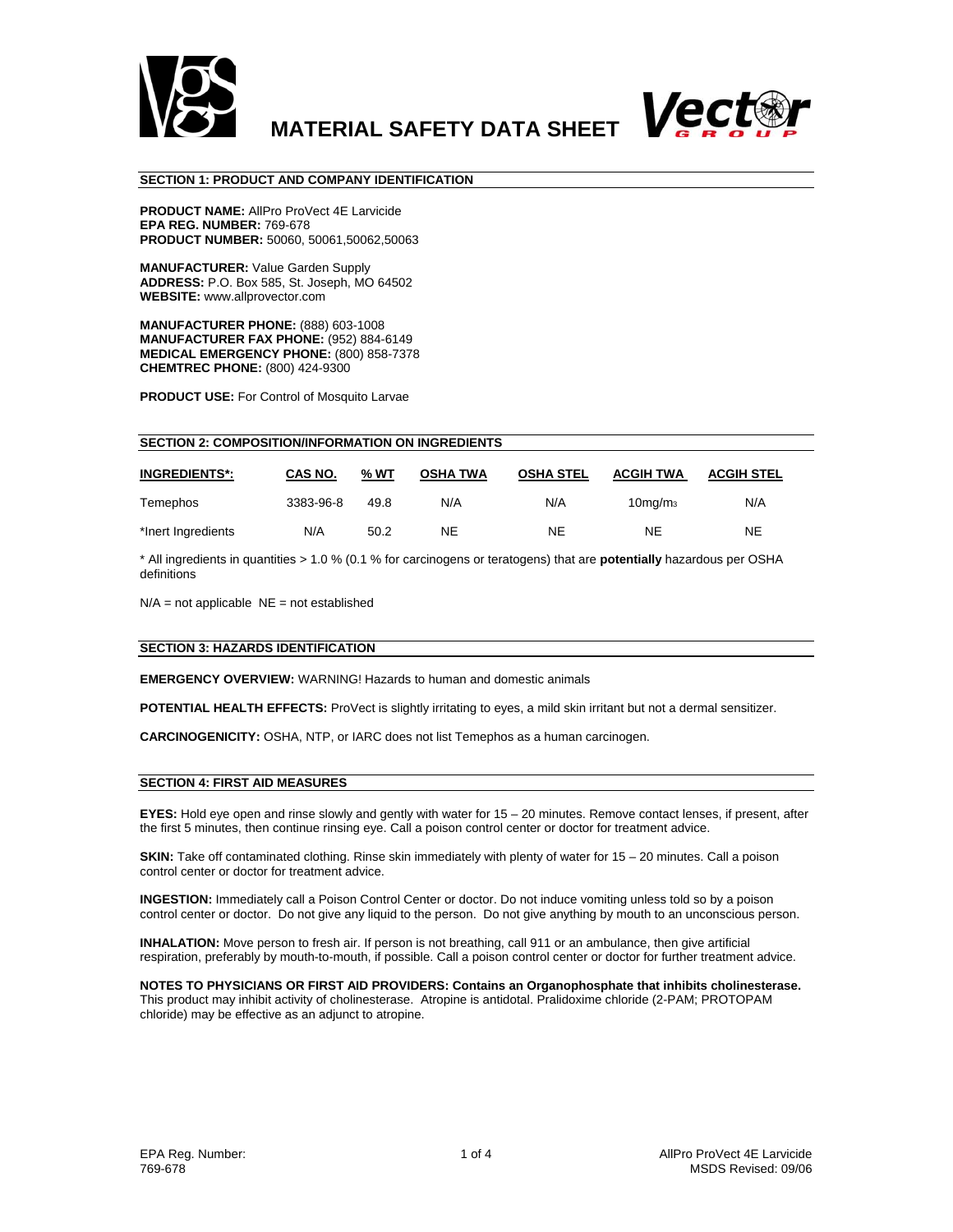



#### **SECTION 1: PRODUCT AND COMPANY IDENTIFICATION**

**PRODUCT NAME:** AllPro ProVect 4E Larvicide **EPA REG. NUMBER:** 769-678 **PRODUCT NUMBER:** 50060, 50061,50062,50063

**MANUFACTURER:** Value Garden Supply **ADDRESS:** P.O. Box 585, St. Joseph, MO 64502 **WEBSITE:** www.allprovector.com

**MANUFACTURER PHONE:** (888) 603-1008 **MANUFACTURER FAX PHONE:** (952) 884-6149 **MEDICAL EMERGENCY PHONE:** (800) 858-7378 **CHEMTREC PHONE:** (800) 424-9300

**PRODUCT USE:** For Control of Mosquito Larvae

| <b>SECTION 2: COMPOSITION/INFORMATION ON INGREDIENTS</b> |           |      |                 |                  |                                  |                   |  |  |  |  |
|----------------------------------------------------------|-----------|------|-----------------|------------------|----------------------------------|-------------------|--|--|--|--|
| <b>INGREDIENTS*:</b>                                     | CAS NO.   | % WT | <b>OSHA TWA</b> | <b>OSHA STEL</b> | <b>ACGIH TWA</b>                 | <b>ACGIH STEL</b> |  |  |  |  |
| Temephos                                                 | 3383-96-8 | 49.8 | N/A             | N/A              | 10 <sub>mq</sub> /m <sub>3</sub> | N/A               |  |  |  |  |
| *Inert Ingredients                                       | N/A       | 50.2 | <b>NE</b>       | <b>NE</b>        | <b>NE</b>                        | <b>NE</b>         |  |  |  |  |

\* All ingredients in quantities > 1.0 % (0.1 % for carcinogens or teratogens) that are **potentially** hazardous per OSHA definitions

 $N/A$  = not applicable  $NE$  = not established

#### **SECTION 3: HAZARDS IDENTIFICATION**

**EMERGENCY OVERVIEW:** WARNING! Hazards to human and domestic animals

**POTENTIAL HEALTH EFFECTS:** ProVect is slightly irritating to eyes, a mild skin irritant but not a dermal sensitizer.

**CARCINOGENICITY:** OSHA, NTP, or IARC does not list Temephos as a human carcinogen.

#### **SECTION 4: FIRST AID MEASURES**

**EYES:** Hold eye open and rinse slowly and gently with water for 15 – 20 minutes. Remove contact lenses, if present, after the first 5 minutes, then continue rinsing eye. Call a poison control center or doctor for treatment advice.

**SKIN:** Take off contaminated clothing. Rinse skin immediately with plenty of water for 15 – 20 minutes. Call a poison control center or doctor for treatment advice.

**INGESTION:** Immediately call a Poison Control Center or doctor. Do not induce vomiting unless told so by a poison control center or doctor. Do not give any liquid to the person. Do not give anything by mouth to an unconscious person.

**INHALATION:** Move person to fresh air. If person is not breathing, call 911 or an ambulance, then give artificial respiration, preferably by mouth-to-mouth, if possible. Call a poison control center or doctor for further treatment advice.

**NOTES TO PHYSICIANS OR FIRST AID PROVIDERS: Contains an Organophosphate that inhibits cholinesterase.**  This product may inhibit activity of cholinesterase. Atropine is antidotal. Pralidoxime chloride (2-PAM; PROTOPAM chloride) may be effective as an adjunct to atropine.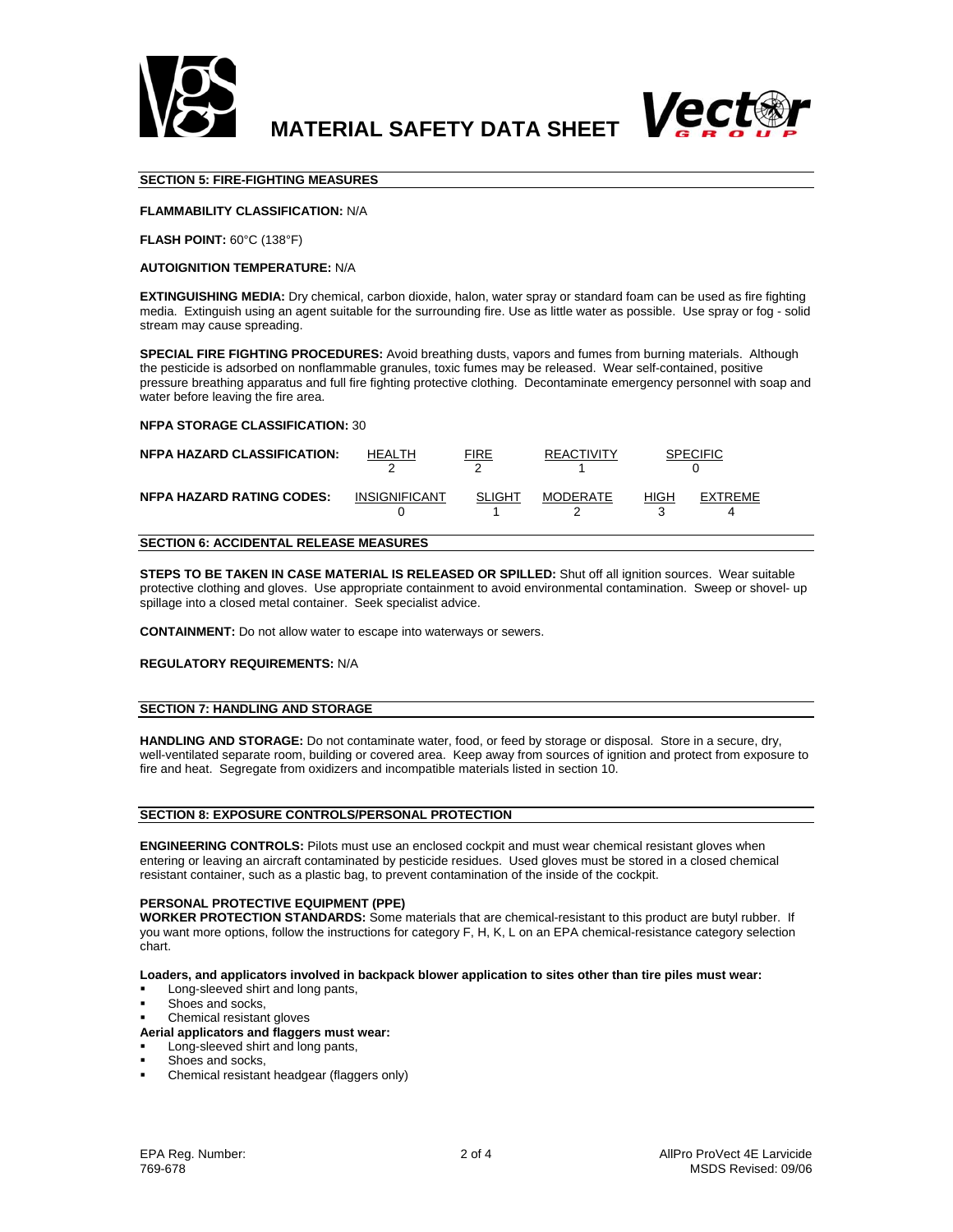

**MATERIAL SAFETY DATA SHEET** 



# **SECTION 5: FIRE-FIGHTING MEASURES**

# **FLAMMABILITY CLASSIFICATION:** N/A

**FLASH POINT:** 60°C (138°F)

#### **AUTOIGNITION TEMPERATURE:** N/A

**EXTINGUISHING MEDIA:** Dry chemical, carbon dioxide, halon, water spray or standard foam can be used as fire fighting media. Extinguish using an agent suitable for the surrounding fire. Use as little water as possible. Use spray or fog - solid stream may cause spreading.

**SPECIAL FIRE FIGHTING PROCEDURES:** Avoid breathing dusts, vapors and fumes from burning materials. Although the pesticide is adsorbed on nonflammable granules, toxic fumes may be released. Wear self-contained, positive pressure breathing apparatus and full fire fighting protective clothing. Decontaminate emergency personnel with soap and water before leaving the fire area.

#### **NFPA STORAGE CLASSIFICATION:** 30

| <b>NFPA HAZARD CLASSIFICATION:</b> | HFAI TH              | FIRE   | <b>REACTIVITY</b> | SPECIFIC               |  |
|------------------------------------|----------------------|--------|-------------------|------------------------|--|
| <b>NFPA HAZARD RATING CODES:</b>   | <b>INSIGNIFICANT</b> | SLIGHT | <b>MODERATE</b>   | HIGH<br><b>EXTREME</b> |  |

# **SECTION 6: ACCIDENTAL RELEASE MEASURES**

**STEPS TO BE TAKEN IN CASE MATERIAL IS RELEASED OR SPILLED:** Shut off all ignition sources. Wear suitable protective clothing and gloves. Use appropriate containment to avoid environmental contamination. Sweep or shovel- up spillage into a closed metal container. Seek specialist advice.

**CONTAINMENT:** Do not allow water to escape into waterways or sewers.

#### **REGULATORY REQUIREMENTS:** N/A

#### **SECTION 7: HANDLING AND STORAGE**

**HANDLING AND STORAGE:** Do not contaminate water, food, or feed by storage or disposal. Store in a secure, dry, well-ventilated separate room, building or covered area. Keep away from sources of ignition and protect from exposure to fire and heat. Segregate from oxidizers and incompatible materials listed in section 10.

# **SECTION 8: EXPOSURE CONTROLS/PERSONAL PROTECTION**

**ENGINEERING CONTROLS:** Pilots must use an enclosed cockpit and must wear chemical resistant gloves when entering or leaving an aircraft contaminated by pesticide residues. Used gloves must be stored in a closed chemical resistant container, such as a plastic bag, to prevent contamination of the inside of the cockpit.

#### **PERSONAL PROTECTIVE EQUIPMENT (PPE)**

**WORKER PROTECTION STANDARDS:** Some materials that are chemical-resistant to this product are butyl rubber. If you want more options, follow the instructions for category F, H, K, L on an EPA chemical-resistance category selection chart.

#### **Loaders, and applicators involved in backpack blower application to sites other than tire piles must wear:**

- Long-sleeved shirt and long pants,
- Shoes and socks,
- Chemical resistant gloves

# **Aerial applicators and flaggers must wear:**

- Long-sleeved shirt and long pants,
- Shoes and socks,
- Chemical resistant headgear (flaggers only)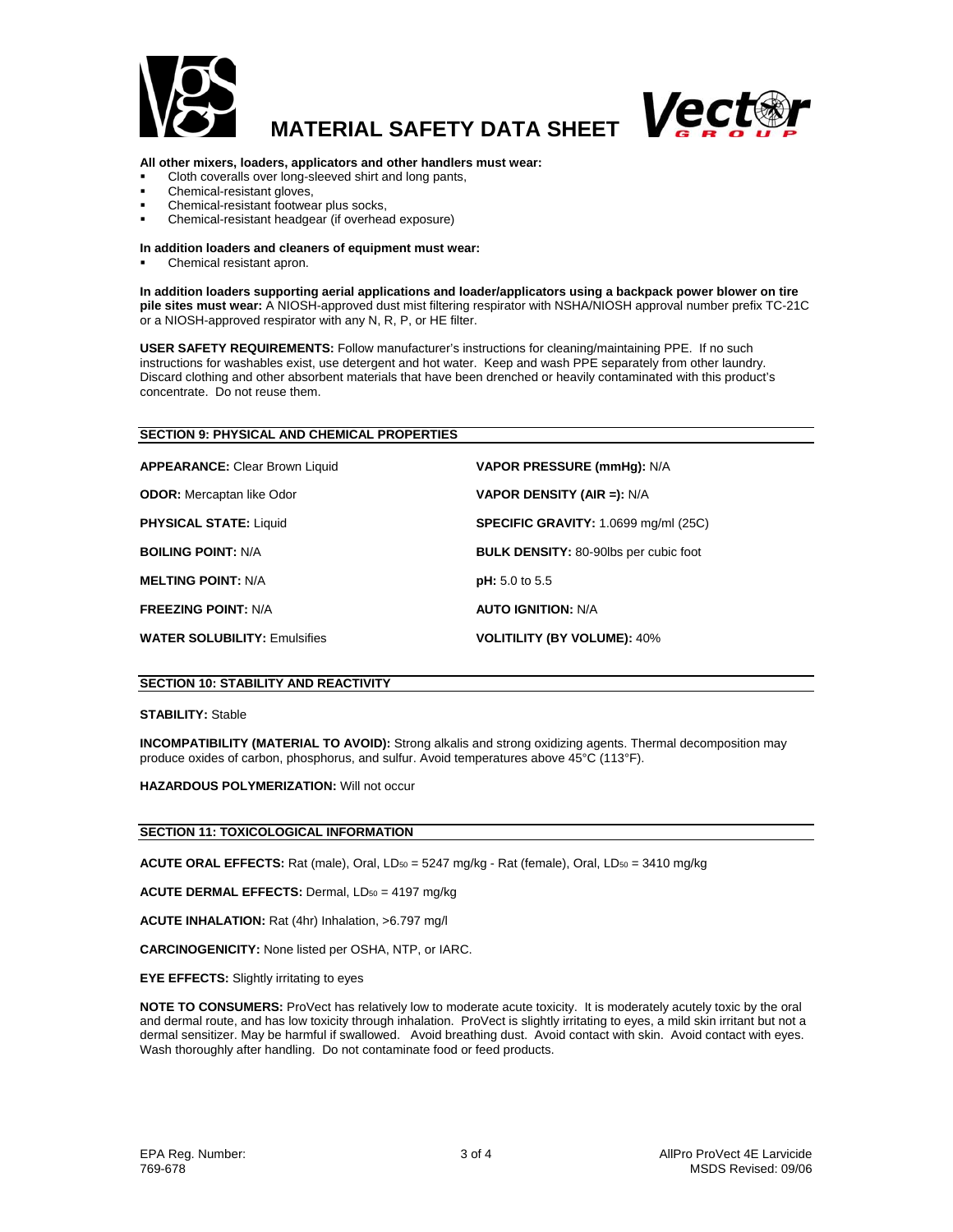

# **MATERIAL SAFETY DATA SHEET**



# **All other mixers, loaders, applicators and other handlers must wear:**

- Cloth coveralls over long-sleeved shirt and long pants,
- Chemical-resistant gloves,
- Chemical-resistant footwear plus socks,
- Chemical-resistant headgear (if overhead exposure)

#### **In addition loaders and cleaners of equipment must wear:**

Chemical resistant apron.

**In addition loaders supporting aerial applications and loader/applicators using a backpack power blower on tire pile sites must wear:** A NIOSH-approved dust mist filtering respirator with NSHA/NIOSH approval number prefix TC-21C or a NIOSH-approved respirator with any N, R, P, or HE filter.

**USER SAFETY REQUIREMENTS:** Follow manufacturer's instructions for cleaning/maintaining PPE. If no such instructions for washables exist, use detergent and hot water. Keep and wash PPE separately from other laundry. Discard clothing and other absorbent materials that have been drenched or heavily contaminated with this product's concentrate. Do not reuse them.

#### **SECTION 9: PHYSICAL AND CHEMICAL PROPERTIES**

| <b>APPEARANCE: Clear Brown Liquid</b> | <b>VAPOR PRESSURE (mmHg): N/A</b>            |
|---------------------------------------|----------------------------------------------|
| <b>ODOR:</b> Mercaptan like Odor      | <b>VAPOR DENSITY (AIR =):</b> $N/A$          |
| <b>PHYSICAL STATE: Liquid</b>         | <b>SPECIFIC GRAVITY: 1.0699 mg/ml (25C)</b>  |
| <b>BOILING POINT: N/A</b>             | <b>BULK DENSITY: 80-90lbs per cubic foot</b> |
| <b>MELTING POINT: N/A</b>             | pH: 5.0 to 5.5                               |
| <b>FREEZING POINT: N/A</b>            | <b>AUTO IGNITION: N/A</b>                    |
| <b>WATER SOLUBILITY: Emulsifies</b>   | <b>VOLITILITY (BY VOLUME): 40%</b>           |

# **SECTION 10: STABILITY AND REACTIVITY**

#### **STABILITY:** Stable

**INCOMPATIBILITY (MATERIAL TO AVOID):** Strong alkalis and strong oxidizing agents. Thermal decomposition may produce oxides of carbon, phosphorus, and sulfur. Avoid temperatures above 45°C (113°F).

**HAZARDOUS POLYMERIZATION:** Will not occur

#### **SECTION 11: TOXICOLOGICAL INFORMATION**

ACUTE ORAL EFFECTS: Rat (male), Oral, LD<sub>50</sub> = 5247 mg/kg - Rat (female), Oral, LD<sub>50</sub> = 3410 mg/kg

**ACUTE DERMAL EFFECTS: Dermal, LD<sub>50</sub> = 4197 mg/kg** 

**ACUTE INHALATION:** Rat (4hr) Inhalation, >6.797 mg/l

**CARCINOGENICITY:** None listed per OSHA, NTP, or IARC.

**EYE EFFECTS:** Slightly irritating to eyes

**NOTE TO CONSUMERS:** ProVect has relatively low to moderate acute toxicity. It is moderately acutely toxic by the oral and dermal route, and has low toxicity through inhalation. ProVect is slightly irritating to eyes, a mild skin irritant but not a dermal sensitizer. May be harmful if swallowed. Avoid breathing dust. Avoid contact with skin. Avoid contact with eyes. Wash thoroughly after handling. Do not contaminate food or feed products.